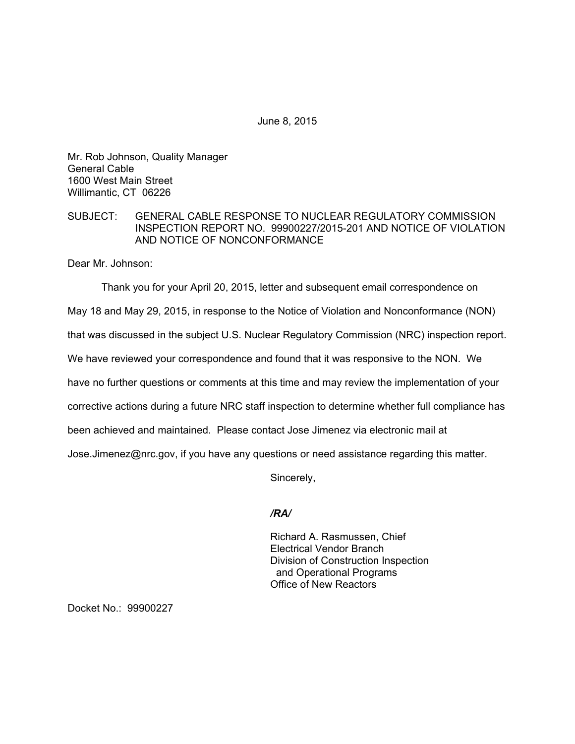June 8, 2015

Mr. Rob Johnson, Quality Manager General Cable 1600 West Main Street Willimantic, CT 06226

# SUBJECT: GENERAL CABLE RESPONSE TO NUCLEAR REGULATORY COMMISSION INSPECTION REPORT NO. 99900227/2015-201 AND NOTICE OF VIOLATION AND NOTICE OF NONCONFORMANCE

Dear Mr. Johnson:

Thank you for your April 20, 2015, letter and subsequent email correspondence on

May 18 and May 29, 2015, in response to the Notice of Violation and Nonconformance (NON)

that was discussed in the subject U.S. Nuclear Regulatory Commission (NRC) inspection report.

We have reviewed your correspondence and found that it was responsive to the NON. We

have no further questions or comments at this time and may review the implementation of your

corrective actions during a future NRC staff inspection to determine whether full compliance has

been achieved and maintained. Please contact Jose Jimenez via electronic mail at

Jose.Jimenez@nrc.gov, if you have any questions or need assistance regarding this matter.

Sincerely,

# */RA/*

Richard A. Rasmussen, Chief Electrical Vendor Branch Division of Construction Inspection and Operational Programs Office of New Reactors

Docket No.: 99900227